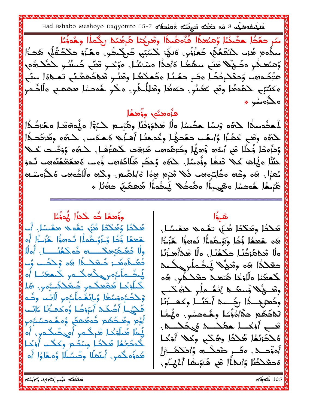مِّم حمَّحًا حَصَّدُا وَصَعِدًا فَزْدِهُما وَقَدِيْدَا هَرِهُكُمْ رِجُّداً وَحُدَّرَنَا مىݣُوم هُزم خْلَقْعُكُمْ خُعْزُوْرٍ. وَبِكُمْ خَبْسُكِي خُرِجُبْحُورٍ. وَهُـزُوْ حَكْجَـتُهُمْ هَجَزًا وَهنُعلمُرٍ وَضَّحْلًا ثَعَبُ سَعُعُدًا وَاحِدًا وَسْتَغُدًا. وَوَّكَـرٍ ثَعَبُ ضَبِئِنُـرٍ لِلْحُكْ ثَوه هَّتُدَهُمَا وُحِنْكَرِدُهُـا هَدْ حَمَّسُا هَجُمْكُمُا وِهْسُرِ هُدَهُمَشَكِ تَعَــاهَا سَبِّ ەڭتَتَى خْݣُەھُدا وقىي تْعَنْسُو. حَيْوهُدا وقْتللْبْلَار. مْكُنْ خُوصْنَا مْتْقْصْبْ وْلْاَشْتْمِنْ ەلمۇەمئىر ھ

## فأوهثم وؤهما

لْمَحْمِىمَا ۞هُو وَسُا هِضُسًا ولَا مْدَوِّوْثُنَا وِهَبِّــع ۞يَّوْا ويُوقفط وهَرْحُدًا لِحْتَهُم وِتَعَبُّ كَمُخُلُّ وَٱلصَّفَ حَقَّحَهُا وَخُمَعْنَا أَهْلَىٰ ۖ هُمَّمَتٍ ۚ لَحْتَهُم وَتَحْتَحُلُا وَدَّوْهَا وُحِلًا هُو ٱوْهُمْ وَمِيْلِ وِحُتِهَمُوهِ وَ هُزْهُمْ كُلْعَتُوْهَا. كَلَّهُمْ وَوَقَّىكَ كَلَّلًا حلَّلْا ه لِمَاهِ كَلَّلا قَنفُا وِؤْمِيْاً. حَلَّهُم وَجَحَر مَكْلاَحَّةِهِب وُّوسا وَهِجْفَعْتُمُهِب نُبوز مُعَزَّا. 6ه وحْد محَّلَّئِهِ مِعْدَ شَلا مُرْمِ مِهْ أَمْ الصَّمِرِ. وكُلُّهُ مَلَّاهُ مَصْحَدِهِ هَ الْأَمْمَ هُدَهُمْ الْمَشْمَلَ لَمَحْمَدُ الْبَرِيَّةَ، الْمَحْمَّلَ حَمَّلًا \*

وَوَّهَمَّا شَه حَكْمًا يُّووُّعًا ۖ مَكْحُا وَمَكْكَا مُنَ عَفَمِد مِمَّسًا. أَب هَعَمًا ذُكُلُّ وَمَأْوَمَعُمَلًا شَوْوَدًا هَزَمَ أَوْ ولًا تُعَمِّكَنَّ مِنْ شَمْكُمُ مِنْ أَولُل ئُعَّىمُہ مَّـ : خُـعْلــدُّا ، ہُہ وَلَـثَــب وُ۔ يُحَدَّدَاْمُ وَحِدِيَّةٍ مِنْ مَحْمَدَةٍ مِنْ الْمَعْشَاءِ أَنَّ ِكْتَأْوْجُا مُفْعَنُّدُورِ شَعْنَكُمْتُورِ. 1⁄6 وْݣْدُبُوهْمُعُدْ وُبِانْغُـْمَلّْبُوم لَاتَّب وحُـْم فَكَهَا أَضُكُمْ أَعْزَفُا وُمَكَعَزُلًا عَانَت أُوُم ومُنظَّطَع شُمَعُطَةٍ وُمِعْتَدِينَوْمِ يُسُلُ مَكْتُوبُكُمْ تَقْرِيكُمْ أَيْ مُحَتَّكُمْ بِكَلْمَ أَنْ لْحُدَدُنُهُا هَٰكِئُمَا وِسُكُمْ وَكُكُب أُوْجُلَ هُدوُه كُدرٍ. أَعْلَمُلا وحُسُنُلا وُهِ هُلُوُل أَه

**ئگرؤا** 

مَكْدُا ومَكْدْا مُنَى تَعْـٰمِـدْ مْغَـٰبُـا. 6َى هَعجهُ ذُخُا وَأَوُحِثُماً اللَّهُ وَأُو حَذَّبُوا الْمُؤَمَّرُ هلًا مْدْهَٰزِحُنُـا حِكْمُنُـا. هلًا مْداَ٬َهـزُنَا حشلكا 6ه وتعهُّلا هُشَملُو كِلْمَسْمَد كْعِعْمًا ولَلْغِمْا هَتْعِيا حَقْلِياً و هَوْ وحُمْدَجِـــدًا رَجَــــداً أَمكُنُـــا وكـهــــزُنُا لْلْأَحُطُمْ حَذَّاهُؤُمُّا وِهُـٰءِحِسُنٍ. وَلَمِنُـٰا هَـــــــــــ أَوْحُـــــــا هَــــــهُ مَــــــهُ . هَكْدَنُهُا هَكْدُا وِهُكُم وِكُلاً أَوْكُلُ أُهوْدِيهِ. وَكُبِ حَتَّدَكُسُهِ وُاصْلَاهَــزُرُل هَحعْكِتُنَا وَٱلطفَّا هُم هَزَوَٰٓٮهَا ٱلْمَهْرَوِۚ.

تشابههم للإنكش بمقفى المتفقفة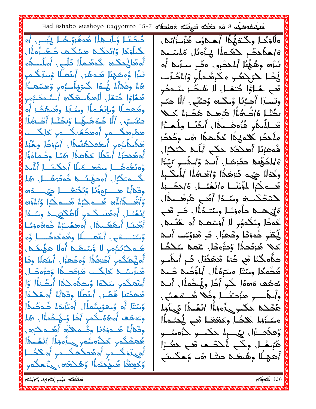صُحُبَكَ وَءَالَـــــاءَالْــ هُدَفَرَوْ حَمْـــا لِحَرْبٍ فِي أَو ِكْبَلُوْجُلَ وَ*اتْحَكْــمْ* مِسْكَـْـصَ ضُغَّــزُّهَـةُلَ أُەھَلَهُكُدُ گُدَهُداْ ذَلَبٍ. أُمَاَّسَدُّه ئىزًا وُەھُمْلًا مُدەھَرْ. أَعَمَلًا وْسْرْكُدْمْ هَا وَشَالًا هُــةَ السَّرْوَلُـــرُه وَمِسْعَــزَا مَحَمَّارَ الْحَتَمَانِ لَلْعَجَامِيعَكُمْ أَسْتَوَجَّرُونِ وهُدمكُما وُبِابُغُداُل وِسُلَطْ وِهُدهَدًا ۚ أَه دْسُبَىٰ. ٱلْا شَمَٰعُمَٰـا وَىحَتْـا أَتَــهُاْا ھۇرھگىمر أەھككزگىمر كاڭىت تَعَكَّمَ دُوبٍ أَحْدَدَ دُمُّدًا . أَحَوْدًا وَهُزَا أُوهَدِدَنَا أَسَدًا حَذْهِدًا هَـُـا وَدْءاهُوًّا وْەلْعْدْمْكَ الْمُحْمَدْ كَالْ أَحْكَمْتَ الْأَلْحَا كُــوْكُرْا فِي أَوْجِهُمْـــدْ خُوجُرْهُـــا فِي مَا وثَمَالًا مَسْوَوَوُلًا وَكُتَمْسَا صَحِصَةٍ وَٱتَّكَالُهُ مَكْسَمَةً مَكْسَمَةً إِذَاذَه إِنْعُمْـَا. أَوْهُنْسْكُـوبِ لّْاهُكْتِيْـِـدْ وِسَّـٰوُا أَهْبِئَا أَحْقَقَـٰهِ١. أُومِعْتَـٰهَا خُورةُونُـا وَمَنْتَـــــــةَبِ . أَمِنُكَــــــــأَلَّا وَهُدَيْدَدُـــــــل وُه مُحمكِرَيْدُوبِ لَا ذُبِّيمَكِ أُولًا هِهُبَكِي. أُهِ يُحَكِّمِ ۖ أَحَٰ:ِثُمُّا ۖ وُهِجُعِبُلٍ ۖ أَعْكَلًا ۖ وِجُل مُحَرِّسَكَ كَالِكُتْ هُرْجُصَكَ الْوَضُوصَالِ. أَسْعَكُم مِنْكُمُ وَحَدُّهِكُما أَحَدَٰنَا وَا مْعِمَّتْنَا فَمَّنْ. أَسْمَلَا وَدْأَبَا أُوهَكُمَّا وَٰمَتْنَا أَه وُحْصُوْمِنُواْلِ. أُه تُزْهَا خُوجُماْ ومُعْتَفُ أَدْهُدُهُمْ لَا ذُكْرٌ وَّكُمْ شُمَاً }. هَا وثَمْأَلُمْ هُدُوْهُ لَمْ وضُدِمْلَاهِ أَهُدُدُهِ. كَعْجَجْدَمِ كَجْرَّەمْمَى مَلَّامَ ٱلْمُحَمَّلَ أَيْ زَوْجُــُـمْ أَوْهُدَكُهْگَــمْ أَوْجَدُـَـا وَكَعِنْقُا مُدهُدُهُ أَا وَهَدْشُوهِ . وَتَعَاهَمَ

ولُلُوْحُمْ وِكْتُوْلُواْ أَحْكُوُبْ هَٰذُواْتُكُمْ. ة/هكْدَكَم حْكَمَاْلْ لِمُؤْهَدِينَ مَاسْمِهِ ئَنْزُو وَهُجُلًا ٱلْمَحْدُو. وَكُمْ مَسَلَمَ أَو لُهُمَا لِمَكِحْسِ مِكْبِشُمْلُرٍ وْٱلْمَـٰأَس هَــح ـمُـارْٓا حُتمْـا. لَا هَـمَـٰ: منْــەحُـر وِنْسِنَا أُحِبُرُا وُحْكَمَ وَحِنَّبَ. أَلَّا حَتَّم ىخْتْلا ەُاشْھَلْلا ھەمىھ ھَڪْزا كْب تَعْبَلِلُمُو فُنُوهُ حَذًّا. أَحَنُّا وِلَمْسَرَّا مأَحدٌ: ݣَدْمُهْمَا كَذَابِهِمَا هُـْ وِحُدِدُ: - فُومِرُنَا أَمِنْتُمْ حَكَّمٍ أَلَمْنَ حَبَيْتِهِ . ة/اخَيْلِه حدَّاهُا. أَله وَّالهَٰبِ رَّيْنًا وَكَتَهْلًا حَيْدِ حَٰـٰٓئِكُمَّا وَٰاتَّصَدُّاْ ٱلْمُكْـٰـِدِ هُــوكُمُ للزَّعْـُـل والعُمْــل. وَالحَصَــزِ لكتتكسف وسَّـهُا أَهُبِ هَٰزِهُــمِهُا. كَايْبْهِكُمْ حَلَّىٰ ذِينًا وَمَتَّنَّكُماً!. كَبَّرٍ هُبِ خُددًا وبُكُدوُبِ لَّا أَوْسْعـدْ أَد هَنّـد. لِّكْتُلُو شُوَوْتُوْا وِشْعَةُا . ثُم هُدَوِّسُت أَسْلَا كَلَّلْا هُـٰٓزَعُكُمُّا وُحِزُّوهُا. عُنْعَظ مُكْحُما حِمْهِكْنَا هَي حَٰ;1 هُتَعَثَّلَ: کَمِ أَيَّكُمْبِ هَحْدَكُمْ وِمَتْنَا مَمَّرْهُمُّا . ٱلْمُؤَكَّىمُ كَــٰمُ عَاهُدَ \$1هُ/ كُمْ أَهُا وِهُنَّقَاً }. أَنَــا وأَلمُـــــو هزَّحنُنْـــا وِثُلا هُــــة هنُع. لمَهْلِيهِ الْمُسْمَأَ الْمُوَمَّرُ مِمْكَمَةٍ مُكْتَبَةٍ مَسْتَمَدِّدَةٍ مَسْتَمَدِّدَةٍ مَسْتَمَدِّ مَسَّزَفِهُ كَلاَهُما وَحُقَقَدا مْدِ لْمُحَسَّدَاً! وًهكُفسْتَا. بَهْسِيا حَكْسِي حَتَّومُسْي هَبُسُا. وكَب لمُحسَس هَب حقُوّ! أههلًا وهُىعُكُمْ حَتَّىٰاً هُفَ وَجَكْسَبُ

تلاءُ مام الله على الله من المسلم المسلم المسلم المسلم المسلم المسلم المسلم المسلم المسلم المسلم ال

 $\frac{1}{2}$   $\frac{106}{2}$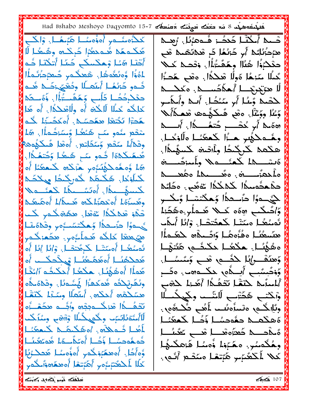كْخْرُەمنىدەر أەۋەمئىل ھَرُمغىل. ۋاڭى هُكُمهُمْ هُـمحمُرُ! حُرِكْتُ وِهُتِعُـْ! لَٰا أَحْتَا هَـُا وَحَكَسَكُمْ ضَبًا أَتكْتَا خُم لْمُوُّلْ وُمِنْعُمْعُلْ. هْعِنْدُمِنْ شَعْرَجُرْنُمْلُلْ ثُـهو حُزْنُهُـا أَعنَهـاًا وتُعْبَىٰ;حَـٰه شُـه حنْدٰرِدُسًا دَٰلَــب وَحَفَّــۃًٰٰٰٓٓٓاً. وَٰٓہٗــحَٰہَ حَالِكُم حُملًا لِّلَكُنَّهِ أَه ولَّاتَّعَـٰٰكُمَّا. أَه هَٰذَا هَدْرًا تَكْتَعْا مِهَدِسًا. أُوجَدْخُها لَكُم مْكُمْ مُدُو مِّبْ هُنُعُا وُسِيْرَكُمْلْ. هَا وثَمْأَ*لُمْ مَنْتُ*مْ وَ*مَنْخَ*اتُمْ. أَهْمَا هُكَكُهُمْهَ مُعمَّكُهَ) فَدو مَّح هَيمُا وَجَتمُكُلَّ. هَا وُهِ هُمَكُهُنَّوْمٍ هُوْكُلُو كُنْهِكُمْ أَهْ كَلَوْكُل هَكْمَهَ كُورِكْدُا وَكَدَمُ كسئم مدًان أوتئه مدًا حمقه وهُسَزَةَ الْمَتَعَبِّلْكُمْ هُسْلَالًا أُهْمَّعُكُمْ تْݣُو مْحْكُمُ تْعْمَلْ. مْغُرْمْكُمْ كْب فيحول كاسعدا ومكتسّدون وكافشا مى مىغا كاڭم مَىملُبُوم. مىگىمزگىم ثَمِنُعُما أُمِّنْتَ لِكُرْهُتِمْمَا. وْاِيْلْ إِيْلْ أُم مُعطَمُنُـا أُهمَّمَمُنُـا وَجِنَّحَكَــب أَه هُداْ أُوهُمُنَا. هكْعُا أَحكْتُد ٱاعْتَا وبُفَرِبْكِثُم هُمكِمُرًا لَمُسْمِئًا. وظَمَّمَكُم هَنَكُهُم أَحْكُم الْمَعَلَلا وَسَٰرْاً كَتَعْا تَحْفُــدًا مْنگـــوَدْه وُفُـــه محَـفَــزُه لَّاأُمْتَەْنَائىدَ، وڭمېڭىلا ۋاتقىي ومْنَزْكْت لَمُعْلِ شَمِيْتُو . /وهَكْيْمَا جَمْعَهُمْ لِ دُه هُوصِيُنَا رُدُنَا أُوتَكُنَا اللَّهُ وَتَعَيْشُنَا وَّە)ُكْل أەھمَّزْفِكُمْر أُەۋُەسُل ھُڪْرُبُل كَلَا لَمَحْتَبْتُومِ أَهْبَتْهَا أُوهِمُووَٱلْكُمْرِ

تَصَبِّعَ أَنْكُثْنَا ضَفَّعَةَ قُنْدَهَبُنَا. رُهِنَّ ِ هَرَجُرُنُائِكَ أَبِ جَرْنُهُا ثَمِ هَٰذَانَهُنَكَ هَبِ حنْدُوْا هُنُاا وهُقُنُواُا. وْتْحِــدْ كَــلَا كَمِلًا مَعْنِهُا هَوِلًا شَكْدًا. وشَي هَدَّا لَّا هَجَهْدِجْهِا أَحْكَمُهُ مِنْ مَكْلَسُكُمْ وَالْمُسَلَّمَةِ مِنْ لحصْد وُسُا أَبِ مَنْشًا. أَنه وأُنهُب وَمُنُا وَوَعْنًا. ٥مْعِ ۖ قَىكُلُوهِ عَاهِدًا)َلِلاَ وهُــوكهُـل هــزُا كَعفَنُــا ولَٰاوَحُــا. هكْعَمْ كْرِجْحْدًا وِأَاتْمَةَ كَسَهّْدَأَ. ةستسلط لمكعنُسسم وأميزكُمست <u>A voo La voo de jazio</u> حكْمحْدسكُا كَمْكْدًا تَفْعُمِ. وَخَلَّمُ لْجَيْحَوُا حَزَّىٰحِدًّا وَجِعَدَّتْسَا وُحَكْسِر وَٱصَّكَبِ هِهُهِ كَمَلًا هُـهلُرٍ.هِ هَجَٰٓ; ئُمِنُعُما مِنَتْبا جُمِعَتِهَا. وْٱلْلَّهُمُو هنّىئغُلّا ەقْتُەھُلا وَائَــىدْە كَــحَكَــهِـلَّا ەھُھُلًا. ھَكْھُـا حَكَمُــو هَتَنهْـا وَهلَفْـــرِيْنَا ۖ ۖ حَفْــــم لِهَـــب وَمَنْــنُـــا. وَوَهُسَّب أَيِــدُّهِ كَــْـــدەت. ەكَـــر ٱلمسْلَم كَتَعْلَمُ تَتَحُكُمُ ٱمَّذِا كَمَّو وْاكْتَبِ هَكْتْنِبِ لْانتَّسَبْ وِكَيْحُسُلُا وِنَالِكُــمِ ونَسِلُوسُــب لِمُعُــب فَكَــرةُوبِ. ةهكملط حقّوصيُنا وُجُل كَعِمَيْنَار ةَ حَادَ حَمْدُوهُ اللَّهُ صَحْدَ مُعَنَّدَ اللَّهَ وهُكُدسُرٍ. دَهُبُرْدَا زُدسُا فَرْهَكُنْهَا كَلًّا أَخْفَبَسٍ هَٰتِسْا مِمَدْمِ أَنُوبٍ.

تمنابهم عردتكر سهذ تكلفكة

 $x = 107$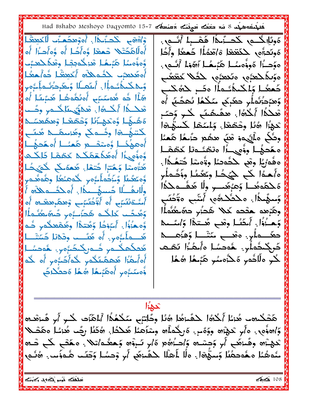Had Bshabo Meshoyo Daqyomto 15-7 ملحنك تحنيك شد بحنف من 8 مله في الم المسلم العامل وْالْأَهْمِ ۚ خْجَزُجْلَا ﴾ أُووْهِجُعِيَّبِ لِلْكَعِنْقَاءِ هُوِنَالِكُـــمِ كُحـــزُبكاً هَمْـــرِاً أَنْـــمِ. أُهلَّاهَكَتْلا كَمِعْلِ وُه أَكُلُّ أَه وُه أَحـُرًا أَه هُوِيَحْزُوبِ لِلْكَفَعْدِ وْاتّْعَفْلًا خَعْفُلْ وِأَجْل ؤهؤمنا هذها فرنكوبشا وفكلعث وَوَحِبُرْا وَوَوْوِمِيْلِ هَٰبُهُمِلِ ٱوْوَٰهِمْ أَكُوبِهِ ۚ وَ أُه مَحدثٍ لِحَدُمِينَ لَ الْمَعَمَّا خُه ُ مِعْدا وَبِكَلِطِيْهِ، وَتَعْطَيُهِ، لَكُمْلاً يُقْتِقُب وُلِمَكْلِمُشُورُا. أَسَّصَلَا وُلِعَذِكْرُكُومُومِ كَعفُا وَالْمُدَاَّسُواْ وَحَـ لِلْمُكْتِ هَاْا خُم هُمسُسُ أُمسُمُه اللَّهُ هُسُسًا أُه وَهرَدُوْشَابِ حَعَرِبَ سَكْعًا نُعَصَّبُ أَه قْطَـٰٰھُا أَكْـُہُا. قَطَقُہُمَّلْگُـُمْرِ وَحَـُـُب ْ هَٰلِكُمَا ٱلْكُلُّهَا. هِفَىهُمَّى كُلْسٍ وَُحَسَّرِ ةَهَبِكَ أَوْكَنِيَّنَا وَكَقْعَا وْمَقْعَدَ مَنْهَمْ تَحِبُّا هُنَا وِحْتَفِعْا. وَلَمَحْمَا كَسَوَّةَا كتنئ وأسمكم وهزسكك هبئ وثَكَى هَلَنٌ وَذَ هُنَى هِهُمْ حَزَمَهُا هَمْنُا أُهْمِهُكُمْ وُمِنْتَسْمٍ مُعْسَلِ أُهْمُحِهُمْ مكشها وؤميسأا وتغشونا كتفشا وُوزُوباُ أُومَٰذُهَ مَكْمَةَ كَتَفِقْهَا كَالْكُلْبَ هفُوُهُا وهَى حَثَّدَمُا وِوُّمِمْا كُتَعُـٰدًا. هَٰتُومْا وَحُتِرَا حُتْهَا. هَجْكُمْ حُكْمَىكُمْ وَالْمَرْجَعَ ءأهـهُا كَبِ حَيْحُـا وِحَعَّىنُـا وِذَهُـه أَم ؤَمَنَّفَنَّىلًا وُخُفَضَكُمْوَم كُلُّوهِنَّكُمْ وَهُدَهُنَّـدَمْ هُكْكُمُمُــا وُهُبُمُـــرِ وِلَا مُدَّـــمَكْدًا وْلْابْقُــْلَا مُّسْمُّــْبِدًا. أُوجْفُــوجْنُو أَ وُسِهُٰدًا. مَكْثُكُوهُمْ أُشَبُّ وَوُّصُبُّعَ أَمنُــٰٓفَائِنَّہٖ أَو أَوَّحُنَّہُٮٖ وَمنظُرمنفـدہ أَه وهُرَمده هدْده كَلا هُدُبِ دِهَٰىهُمْلَا وَهُدَّـــا كَالْحُــه هُدَّ-ــرُه و حُــهُ هُنُــه اَ وَهِدُوْلَ. أَمِكْسًا وِقْبٍ قُصْتَهَا وَامْسُمِهِ وُّەھُرُوًّٗا. أَجَوْدًا وَمُتَمَّا وِمُعْعَلَامِ دُّے حعَصَـــواُسِ. وقتــــــــ مَتْنَـــا وَقَوَّعــــــــمَ هُــــواُــرُوب. أو هُنُـــب وِثْلاثا كُنَنْتْـــا صَٰحِکُدُه اُبن حُمْحِسُا ه اُمعُہٗا نَھُـعَـ مُعِلَّعِيْدِ دُءَ كَمُرْدَرُونِ. هُوَصُبَا َىكُرْ ەلَّاخُەر ەَجْزەمئر ھَزْمَعَا ھُعَا أَه أَحَمُّ اللَّهُ مَحْمَدُكُمْ لَلْكُلُّهُ مِنْ أَوْلَٰكُمْ مَنْ اللَّهُ ؤُمِنَيْرُەن أَمْظُمَلُ الْمُعَلَّا مُحَكَّلَاكُمْ تحلأا هَٰدۡكُـده ۖ هُٰٓئِنَّا أَكۡدَهَٰا كَـفَـٰٓئِهَا هَٰٓئًا وَحَاتَبۡ مَكۡعُمَٰٓا ٱلمَّنَو كَـٰرٖ أَرٖ فَـٰٓئِمَـه وَّاهِ؋ُٯِ. ٥أَبِ نَحْهُۥُ۞ ووَۚهُٮ ۚ وَرَبُّكُمْٱه وِسْلَمْنَا مَكْلُمَا. هُكُنَّا رَجُّٮ هُـْنَـٰـا هَضَك تَّكِيْتُوهُ وِهَّنْهَكُمْ أَبِرٍ وَجِسْدَهُ وَاحْتُوْهُمْ وَاسْتِرْوُهُ وَعَقَدَهُ اسْلَاءٍ. مَعَّفَ كُلّ شَد مِنُوهُمُا وهُوحِقُلًا وَمِنْهُوْا . وَلَا لَمُعْلَل حَقَّىٰهِمْ أَبِي وَصِبُط وَّصَبُ هُوَ مِن وَقُص

تلنابه بالمتلكم سأم تلفظة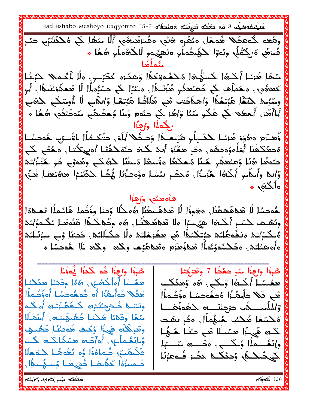Had Bshabo Meshoyo Daqyomto 15-7 x المسلمة بحنفية بتعديم 8 مله الشهيفة وهُعد گُدهحُلا مُّدهَا. دَعَّرَه ۞نُو دَقَّـَةِمُد۞ن ٱللَّـ مَّحُل كُلِّ هَـحَكَّتَبَ حَـّـرٍ صَّنقَ وَرَكّتُمَلَّ وَيُدَوْا حَكّمَدُّم وتَعَيَّدُو لَّاحُدَّةُولُم رَهُمُا \*  $\mathsf{L}_2^{\delta}$ مَطْ هُزِيَا أَجْدَهُ! كَسَوُّهْ! هَكَشُوبُكُمُ! وَهكَـزِه كَتَّبْسِ. هِلًا أَبُّـمَلا كَبْسًا. كَعِدِهُوبِ. مِمُملُّف كُم خَعِنُعِدُمٍ هُزُسُدًا. مِمَّزُا كُمْ حِمَّرُهاُا لَا شَعِدَّوْنُتُنَاا. أَم وِسَبُعِكَ حَتَمَّا هَبَتِهُكُا وَاهِكُمَّتَتِ هَي هَٰلَاتُنَا هَبَتِهَا وَاتِّكُم لَا أُوسَكُن حَاوَي ٱلْمُآمَدَ. أَحْمَلُكَ كُلُّ هُكُنْ سَنَا وَٱهَٰذِ كُلُّ حَثَمَ وَسُلَّ وَحَصَّصَّةٍ سَمَحْتَشَى هُحُل م ركْماً المَوْجَزَا .<br>وَهــْتِم مَمَّوَّذٍ هُـْـُـل حَـكَــبِلُرِ هَبُــمــدًا وَحــفُـلا أَلَمْو. حتُكــمُلُّا لمَوَّـــرَب ـهُمحسُــل هُحعَكْدُمْا أُوْلُووُوحِهُو . وكَرِ هِمْزُو أَبِي كُنْ حَتَّفَكَ الْوَبِيكُمْا. وَهَبْ كَبِ حَمَمُا هُلَا وَعِنْعِدُمٍ هَنَا هَمَكُمُا هَوَّسِعْا هَسْنًا لِحَمُكُم ومَحْوَى حُرِ هَزَّنْاتُكَ وَّابِهِ وأَبْجُبِ أَجْدَهُ! هَٰٓئِيَّاً. هَجْشَرِ بِنُسُلِ هِوْهِجَزَٰنَا لِمُجَبَّا جَجَنَّةٍ! هِمَّتهِنَا هُبَّي ەألمەن پە فأوهثم وإجأا هُوصُا لًا مُحْافَهِمُلًا. وقووُا لًا مُحْافَسِعُنًا فَوحُلًا وَصَلًّا وفُحُوا فَاسْواً! تَعَجَّاً ا ونَسْتَ حَسَّرٍ أَحْدَهُ! هِيُسْرًا هِلًا مُحْمَدُهُمَا. هُم وحُمْحُكُمُ! هَنُومُنَا عُكُوءُ/يُمْ هَ كُنزُائِكا مفْعَمُلئَكا حَبّتكْنُكُلّ هَي محفَنِعُلئَكا ملّا حكْتُللئك خَصْتُل وْبِ سَزْتُلِتُكَ ه أُه هِمُلَّكُمْ. وَحَكْشُوبُثُواْ الْعَكْفُودُو وَهُكُمْكُرُهَا وِكْلُوا مِكْلُوا الْمُفْحَسُلُ \* هْرِذًا وَرَجِزًا هُم كَحِدًا لِمُوذُمُا ِّقْرِؤُا وَرُقِوَّا مَّى كَمَّكًا 7 وَقْتِرَجْتَا همَّسُل أَهلَكُمُبَ. هَهُ! وَشَمْعًا هنَّكْمًا همُسُل أَكْـهُا وُلّـكَـ وهُ وَهنَكْـب هْثُلا ثُمُّ،مُزُا أَه خُمعُوصُا أُهزَٰثُماُ! هْمِ ثَلا حَلَّمُّ ۚا هُحِفُوصُـا وَذُهُـواُ! وِنَسْمَ خُمْرِجِنْنَدِهِ كَيْفَعَنْتِهِ أُمْكُم وْالْمُسْــــدُّــ دَوْجِنْنْـــــرَّ ـــدْشُهْوُهُــــا مَعْطُ وَشَمْنًا هَٰكْسًا خَصَّمِْسْمٍ. أَمَّصَلًا هَكْتُمُا هُكْتُبْ هُنْهُمَأَا. وَكَرِ نَهْتُ وثبرللاه فيدا وَكُنف شُوطنُا خُصُّب كُــــا هَـــــاً مَــــاً هَـــ مِّنْـا هُــوْــا وَبِالْغُبْمِلْسَ، أَوْأَتْتُ هِيَكْلِكُ، كُت وِإِنْمُــداًا وُحَكّــــ ودْـــــ مَــــــــْمَ صَّحَمَــَىٰ شُـماهُوُّا وُه تُعْمَعُـا حَــْمَعُلا

محناه بالأمراض بالم متفاضح

ضُمِيزُهُ الْكَلِّمُا خَصَّى الله عَلَيْهِ الْمُسَلِّمَةِ الْمُسْتَمَرَّةِ الْمُسْتَمَرَّةِ الْمُسْتَمَر

 $\frac{106}{ }$  106

كَيْحُمْكُمْ وُحْفَكْكُ حَضَّةٍ فَـْحَمَرُنَا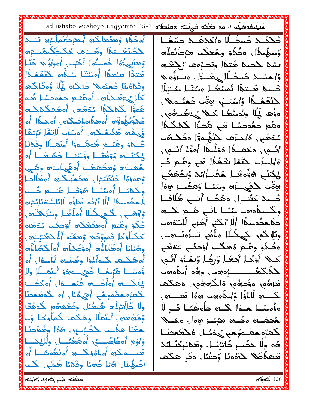Had Bshabo Meshoyo Daqyomto 15-7 x المسلمة من المحتفظ من 8 مله المعلم في المعاشر في المعاشر في المعاشر

أُهضْكُو وْهِكْعْلِكُمْ أُحْكِرْجَانُمْلُمْ، تُسْبِكْ للصَّفَكُ تَلَمُّا وَهُـــْرَمَا كَلَّكْتَجَلُّكَمَــْرَهَ وْهِأَبِيءُهَا خُمِيُّهُا أَخَيُّب. أُمْوَٰنُوْيِهِ خَبَّا هُتِمْ مِنْعِدًا أُمِنَتْهِ سَنْرُهِ كَتَعْفُدُا وثَمْقَتْلَ شَعِنُه لا تَبْرِيْهِ ۖ لَمُلَّا وُوَجَابِكُم كُلًّا ﴾ توَهُـــهِــاهُ في أوهَّتــم حـمُّوصِيُــل هُــو هُووُلِ كَمْلَكُمُلْ عَوْمُهِنَ أُومُدِهَكُمْكُدِهِ ثَكَاذُنُكُوْوُه أُهْمَكُمُ الْمُكْلِهِ . أُهْمَكُمْ أُهْ فَي هُ مَحْكَمُ ذَلِهِ . أُو مَنْ لَهِ اللَّهَ الرَّبْتَ الْمَرْسَلَ شَــدُوْ وهُـُــع هُدهَــدُوُّا أَسَّمَــلَّا وَشَاتَا لْمِحْتَكْ، وَوْهُنْكُمْ وَوْمَحْسَنَا كُنْفُتْكُمْ أَنْ هَقَسْتُوهِ وْمَحَمْعَمُد أُهْفِي زُسْرُهِ وَهَي وْهِوْوْا شْكْتّْتْرَا. مِحْمْزْكْلُه أُوهَٰلِلْكُلْ وكلائب أومئنا ووفا محبو ملب أَحدُدمكُمْ أَلَّا ٱاٰذُو هَٰذَوْهِ لِّاتَامِنَـٰتَەَنَاتَـٰۃِ۞ وْأَأْثَى بِيَكْمِيكُمُلَا أُمَلَّفُكَ مِمْكَلِكُ وَ. تْݣُو وهُنْع أُهْمْدْهُكُلُه أَوْحَكْتْ عُنْقَمْلِهِ كَكْتْلُوْكْلْ فُوووُتْدْ وْهَمْزُو أَلْمَاحْتَتْبْتْرُونْ. وشَاعًا أَوْهَٰذَا أَمْ أُوَذِّكُمْ أَنَّ أَوَالَّكُمَا أَن أُه هَكْــم كُــهِ أَمْلُواْ وهُـنْــهِ أَلْمَــهَا. أَه وُّومُكُمْ الْمُرْجُمُكُمْ دُوِّيْ دَوْيَ أَمْتَعَكُلَ وَلَٰل يْزَيْكْ وَالْأَرْبَ وَالْمُسْكَرَانِ أُوْكُوْسَةِ لْكَعَزُهِ مَعْدُومًا إِلَيْهِ مُا الْمَرْكَمَا وَالْمَحْمَدَةُ الْمَسْتَدَمَّلَ وِلًا خَاأَتْبُلُّه هُىعُنَا. وِحُعْدِهُم كُوفْدَ: وَفَوْهُوهِ . أَعْمَلًا وهَكُم كُمَأْوَجُلٍ وَب هَعَمَّا هِمَّسَا لِحُسَّرَسَ، 5% وِهُدَاحِلًا هُنسسة كَلَّاه أُهْلُوْذِكْسُوهِ أُوتُعُثُوطُ أَو احَكَمِنَا. هُنا حَمْنَا وَعْمَا هُنَى. كُب

تَحْكَمْ ضَيْئًا وإِيْجَاهَكْ حِيْمًا وَسِهَٰىدًا. ٥كُلُو وهَعكَب مرَدَّتُه أَ0 بشم لمضم مُتمْا وتصرُّهم رَجْعُبه كەمۋىت، باشىقىي للىشىش A كىشىماق تْصِيحْ هُــتَجْلَ ثُمِنُعُــلِ مِمَتْـَـلِ مَتْ بِٱلْمُ لِمَنْقَمُكُمْ وَاسْتَسْبُرٍ وَةً حَمْسُمِيْلِ . وَوَّهِ إِلَى الْمَدَّلِ الْمَدَّدُ لِلْمَدَّةِ بِهِ مِنْهِمِ وَأَنْهِمْ مِنْهِمْ وهُم حمْوصُل هَي هُدْ: كَلاكُدُا عَـٰٓقَعُبِ ﴾ ٱلحـْرَٰڢ ۖ لِكُلُوءَوْٓا ۖ وَكَلَـٰهُڡ أَنَّـمٍ. مكعــدًا هَٰذَلَمَاْ أَمْوَاْ أَنَّـمٍ. ة/لمسَّد حَتْقا تَحْفُدُا هَي وهُـم كَـر لْحَنْبُ ۞ۊ۫ٛ٥ۥۿـا هَڡٞٮۥۢ۠ٱٮٞۮ؋ٮػؘڠڝۢ اهْتَمْ لْمَكْيِبْتُمْ وْمُمُسْلُ وُهِشْمَا وَهُمْ الْمَحْمَدِينَ حْـــٰم كَتُنْــْمَ و مَعْجُـــز أَتْبِ هَٰلَلاجُــا وكَسْمَاهِ مَنْسَا اللَّهِ هُسْمَ كَسْمَةٍ ر<br>حدْمحْمدُمبدُا ٱلْا ٱكْتِ ٱمْنَى لَّاسَّةِهِ۔<br>وِيَالِكُم كَهكُلا مِلْهُم تَسأُونُنِهِ۔ ەكـكە ومُـــــم ەَمىگـــــــ /ُوَحـكَـــب مُــتەمُّىب كَــلا أُوْكُـا أَحمُـا وَرِجُـا وَيمَـزُو أَنَّـمِ ككككسيست وهتون أكموهم هُزَرْقُومٍ وَوُحِرْقُومٍ وَالْحُرْوَرُومِ . وَهِكُم لكلسه لَلْمُؤُا وُمُلَّكُوهِ وَوَٰهُ أَهْلِسُونَ وذُوسُا هــةا لْحْـــرَة جأوصَّـَـا كَــرِ لَٰهَ مكحقه ه دُه مؤسِّد وه العكم المسلم لَلْمَعْصَمَةَ . لَـٰهُمْ رَسَمَةٌ مَعْمَمُكُمْ . ، وَلَا حصَّــ دَّاتَئِــًا. وقدائرِكْنُـائَـه هْهِكُلًا لِهُمْلُا وُحَتُّلْ. وضَ هِكْم

حَدُوْمَة عِرَّوْهُمْ بِمَهْ حَنْفُلْهُ

 $\frac{106}{106}$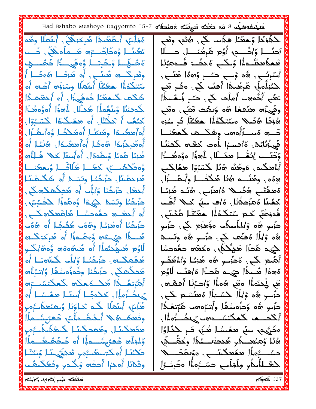هَٰذُكَىٰ أَحْكَمَدُا مَدِكْنِكُلُ . أَعْطَا وَهُد ةَهُبِهُــا وُبِكْرِيْــا وُهِفَيْ—أَا كُهُــــي وقْدِيكْ، قُنِيَنَ، أَو هُزْنْسَا وَوَصَّا أَ مَتَنَكَّمُلًا هِجَتْنَا أَعْكَلًا وِسْرَوْهِ أَدْهِ أُهِ هَكَم كَنْمَعَنْا خُوفَيْ: {وَالْمَعْتَمَا } لِكُوصُلُ وُعِنُعُولًا هَٰذِلًا. لَمُوذًا أُووُوهُدُا كَتَمًا أَ تَكْتَارِ أَو مِعَكَّمَا كَتَبْرُوْلِ أَه أهجَد وَاسْتَ أَو مَحْدَثَ أَو أَحَدُ اللَّهُ أَنَّ أَنَّهُ أَنَّ أُهمَٰدِدَٰٓنَهُۥ هُوَجًا أُوۡ ٱمۡعَنُّدَا ﴾ هُنُـُـا أُو هُزِيْلِ هَٰمَالٍ وُحِقُوهَا . أَوَأَسِيرًا حَمِلاً هُـالْمُ وُەككەَنىسَ كەنبا مُلَاتْنا وُتْمَعَنْنَا، هُدِهَمْمَالِ. دَّنْدُمُمَا وِتَسْلا أَه هَكْلُهُمَا أَحقَا. حَبْحُمُا وَإِلَمَا أَه مَجِكْعِكُمِكَ . حِّئِمْنَا وِنَسْمَ حَيْءَا وُهِجُمْوَٰا حَجُبَّبَ. أَه أَحْقَـــه حَقَّهَصُـــا مَاهْعَكَلَّهِكَـــى . حَبْحُبُل أُوهُدْنِـُل وِرَهُوًب هَٰحَمْجُـل أَو رَهُوًب مُصِمَلَ كَيْءَهِ وُهِضُورًا أَه مَرْكَزِيْدُ وَ لْلُوُم مَّىئِيْتَمَاْلُ أَهْ مَّىئَةَ وَوَهُ وَوَمَّا كُلْب مُفَعِنْدِهِ . حَزْمُنُما وَالْمَ كَسَرُهِ مَا أَه مُعطَّعطٌ . حَنْحُبُّا وخُوزُهِ مُعَا وَٱتَّاَءُ ٥ أهُرْتِهُكُمُ هُلِكُمُهُمْ لَاهِكْتِسَتْ وَهِ ى دُخُواْل كَحْدَبَا أَمِيَا هِمَسْا أَه هُذَبٍّ أَعْمَلًا كُـه تَداوُنُا وُعمُعكُــرُه، وتُعدَّضُ وَمَا أَحْدَثُ عَلَّىَ ذَهَرَ بِشَــْمَا مكَمِكْسًا. ومُعجَدِّسًا كَيْمْكُنْ أَسْوَى وَٰٓاذِاْ۞ دۡڪِمَِينَـــدِ}َا أَن دُحۡصَٰصَٰدَ اللّٰہَ كَكْتُبْ أُهْكَتِسْعَكُومٍ قَطِيَّهِمْ وَالْمُتَحَمَّلِ وَعَتْبًا وثكلاً أُمحُراً أُحدُه وَكُـمرٍ وتُعَكّمتُـب

تلنابهم للإنكار بمابذ تلفظة

لِّكُلُّوْمُلْ وَحِكْمًا هِكَمْسَ لَّكِي. هُنُّهِ وَهْبِ أَحبُـــا وَُاحَــــــــــــهِ أَوُمِ هَٰـبِمُنُـــــا. حــــــلا تَعمَلُامَدُنَّــه مُلَّـــ وَمَدَّــــٰ وَ عَـــدَمَرُنَا } أَسَّرِبُ ﴾. ۞ه وَب حَسْرٍ وَهِهُ أَهْلَبٍ. َكْنُزْلُومُ} هَرِهُمْدُا أَهِنَّكَ كُلِّ وَضَرِ هُي كَعُمِ أَحْده لَمَاد لَّى. حَسْرِ وُحَصَدًا وَهَيْءَ۞ مَنَعَمًا ۞ه وَنَتَقَتَ هُنَى: هَمْ الْمُؤْمَلُ الْمُكَسِّلًا مُتَّذَكِّدُهُمْ الْمَعَكِّنَّا لَمْ مُنْزَهِ تْـــرە ەَمـــألهُ٥٥ وهُكْـــم كَـعمَّـُــل فَي ُمُلْهُمْ. ةَاصِبُوْا لِمُوت حَمْدِهِ لَكَصْبُا وَّحْتَــب إِنْغُـــا هِدَّــْلَا. £ْ10ْوَا هُوْهِ هُـــزَا ٱلمحكَّدة. هُوهَنَّهُ هُنَّا كَتْنَبُوْا هِمَاكْب روهُه . وهُنُسم هُلا هُكْحُسا وأُحكُسُوْا . ەَھفَنَى ھُنَىكا ەُاھنَى فَاللَّهَ هُزَىْـَا كَعَْمَا هُجَادَكْاً. هُ/فَ مِنْ كَتَلَا أَقُت َّ هُوهُمْ كَــم مُتكَــمُاْ الــمعَنْنْـا هُدْمًى . دَّىبِ ۞ُه وْالْمُلْمِدَّات ەۆھْتَات كَــْ. دَّىبِ رُّهُهِ وَ}ِ}ُ} هُڪَمِ گُلِّي. ڪُنِبِ رُهُه وِٽَسِي لكهم هَدُا شَهْكُمُ. مَكْشُرُه حَقَّوصُلًا أَهَّىم كُبِّ. هَدَّسِ هُو هُزْسًا وْالْمُحَسِّ هُ1هُ/ مُعمِدًا تِهْتَ هَدَٰ: هُ/هنَّت لُلوُم هَم يُحتَملُا مقْ هَملُا وَاحبُنُا أَهمْسَ. دَّىبِ ۞ه وْالْمَا حَسَّرْاً هَ مِنَسْمِ كَبِ. دَّىبِ ۞ه وَجَزْهِمُمُكُلّ وِٱتْبَرْهِهِ ۖ هَٰٓئِتُهُـٰهُلَّا ألاده من الله عن الله عن الله عنه الله عنه الله عنه الله عنه الله عنه الله عنه الله عنه الله عنه ال ەكْرْكْچە مْكْ ھَمْسْلا ھْبَة كْمْ لْكَتْلَوْلْ هُنُا وَهِنُعِـــدُبِ هُدِدَتُوـــنُدُا وِحُقُـــدُ َكْتَعْـالْمُدُرِ وِلَمَوْلَى حَسَّرُّهِ الْمَوْسُوُلِ  $\frac{1}{2}$  107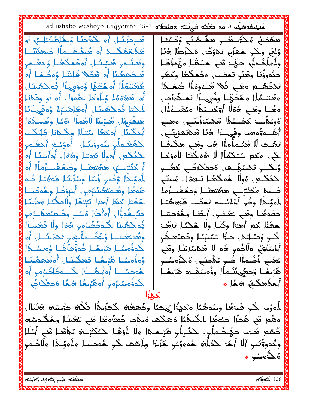هُدَدَّسًا. أَو حُدَّدَتُنَا وُحَفَّاهُنَّ الَّهُ أَو مَدَّمَّمَكُمْ أَه مُحَمَّدُ وَلَمْ دُمِعَتَيْهِ وقُسْدِ قَدَّمَنَا. أُوضَعَكْفَا وَحَقَّدِرِ مُحدَدهمُنَا أَه مَثَلا فَاشْا وُوحُتِهَا أَو هُهَٰتِمَاْ أُهِ هُدَّهَا وُهِ وُهِ أَهْدَهُمَا وَهُ مَحْشَدًا. أُه هَٰدَهَٰۃَهٗا وُلِّأَوْكُل عَقُوتَوْلِ. أُه آو وحْلاتا لَمْحْتَا شَمْحَمَّسًا. أُوهُاهُكُمَا وُوهَيْ زُلَّا هْتِفْدُ بِلَا. هَيْ بِيَالْ لْإِهْتِمَالِ هَيْ الْمَحْسِبُهَا ا أَحكَّمَّا. أُوكْهَا مِّتْلًا وكَّلاثًا وَلَكُمْ الْمُؤَلِّكَ للمَعْداُرِ مُدوِنَكِلٍ. أُودِّتُم أَنْقُدَر لْحُكُمْ. أُوولًا نَهْدًا وَهُوْا. أَوأَسِنًا أَو أَ كَتُتَرَّسَىُ هَدَّةَتَعَتَسَا وَشَكَفَسَتُوهَا أَو لَمَوۡعَدَٰا وۡحُمرٖ وَۡمَا وَمُنۡمَـٰا قَرۡقَـٰا خُـٰہ هَٰدَهُا وِهُـدَعَعُنُدُومٍ. أَجْوَدُا وِهُدَسَا هَقْتَا حُمَّا أَمِتْرَا تَبْتَقَا وِلْاحِكْتَا آمَنَّتَكَا حَبَّدَهُم)اً. أَه)ُحَرَٰا هَنَّىرِ وِحَيْحَتَّخَذَابَوْسِ بُّمكمُنَا كُـمكَكَبُوم 166 ولَّا تُعْسَآاً وهُدكعُنُــا وُخُشُــداُخُوم تكوَّمَــا. أَو لْكُمْوُمِنُا هُرُهُا شُمْوُفُوُهَا وُمِسْلًا وُوزُوسُا هُرُهُا تَعكَّسًا. أُوهُعِفَسًا هُوصِيُنَا أُوأَبِقُنْ الْكَنْبُوكُومَ أُو لْكُمْؤُمّْتُنُوْمٍ أُمْكَرُهُا هُـهُا ةَحَقَّلَاكُمْ ا تحلأا

ھھَتَىلٌ ەَخْتُمھُىپ ھھُىھُىلٌ وُتْسَمَّا وَّلْيُ وِكْرِ هُدَّبِ لَلأَوِّكَ: هَٰـٰأَنَّطُ هُلُّا لَ وأَعلُفُ هَمَ مَنْ مَنْ هَا وَيُوَوُّفُوا حثَّەوؤُلُّا وقْلُو تَعصُّب. ەكْھڭگا وڭھُو تَكْتَصُّــع هَنْـــ ثَلا مَّـــْتَوِهُ أَا حَّتْهُـــدًا هِ هَنْدَهُ أَلْمَ وَذَهَبَ أَلْهُ مَعَاهَ وَذَهَبَ أَلْقَدْ مِنَهُ مِنْ ءهُــا وهْبِ ﴿ فَاللَّهُ أَقِيْدِــِيْجُلْ مِنْصَّــتُٰٓيُّلُّلُ. ەُومَٰدُّىـــز كَتَـــىُدُا ھَدْمَنزْوُمَـّــى . ەھْب أَهُـــدَةُوهف وهَيْـــزُا هُنُا هُدَانَـدَّئِبَـّــع. تَكَـد لًا هُنُـهأُهأًا هُـد وِثْبِ هكْنُدًـأ كُي. وكَمِ مَتَتَكَهُلُا لُا هُوَكُنُنَا لِلُّوفِكِ وُٓىكْسِ لْلْمُنَيَّىٰ ۖ هُ دَهُّلْاَهُبِ ۚ كَعُسُرِ لْحُكْلُو. هُولًا هُمَكْعُلَ تَــ98]. هُمنًى ئَـــدا ەكتُبَب ھ∂تھلــا وَحمّڤَـــأە لَمَوۡنَـٰهُا وِضُو ٱلۡلۡائِنِينَ تَـٰعَضُبَ فَـٰٓوَوَهُمَا ۖ حكَمهُما وهَبِ مُعْسُرٍ. أَمكُمُا وهُقصشا حَفَتُا حُمِ أَهٰذَا وِكُتُا وِلَّا حَكْمًا تَرَهَٰذَ لْكُــرِ وَصَـٰائَـمْ. صَـٰٓا سَّمَٰئِـُـا وضَعِنْعِــمُر ُّاْمِمَٰٓئُوۡفَ وَلَٰٓاحُوبِ ۞ُو لَٰٓا قَدَمَٰمَٰائِنُـا وَقَب كَعَنَــبِ وَّضُــماُ ا ضُــرِ مُـدَّحنَـبٍ. هَــدَّوَمنُـــر هَبُعُما وَحقِي الْمَالُ وَوُّدَمْتُ مِنَّامَ الْمُبْلَد أهدَه مَنْ الله عَمَّاءِ

لَمَوْم لَكُمْ فَنْهُمْ وَنَدْهُمُ مَكْمُ الْمَحْمَلُ وَخَعْعُثَ لَكْحَبْكُمْ فَكُثَرَهُ حَبَّسْتِهِ وَمُنَالِ ەمُم مْي مَّحُرَّا حَمَمُّا لِمُكَلِّمُنَا هَعَكُمَ هُلَّاتٌ خَعْتُومْا مْي عَعَّسًا وِهُكُـوسُو كَهُم هُـ: حكِّمُدُهلُرٍ. حكَـبلُر هَبَّـمـدًا هلَّا لَمْوَسْط حَمَحْبِـهِ عَذَّهَـا هَبِ أَسُلًا وِكُدووُّنُـبر ٱللهُ أَلَمُ: حَدُاُهُ ۖ هُدووُبُرٍ هَٰٓ ٓ مُنُوا۟ وِلَمْعَد حُرِ ۖ هُدَدَعُدًا عَلَى وَبِحُل وألأكت  $\delta \hat{\mathcal{L}}$ ەممُر $\delta$ 

تشابههم للإنكش بمقفى المتفقفة